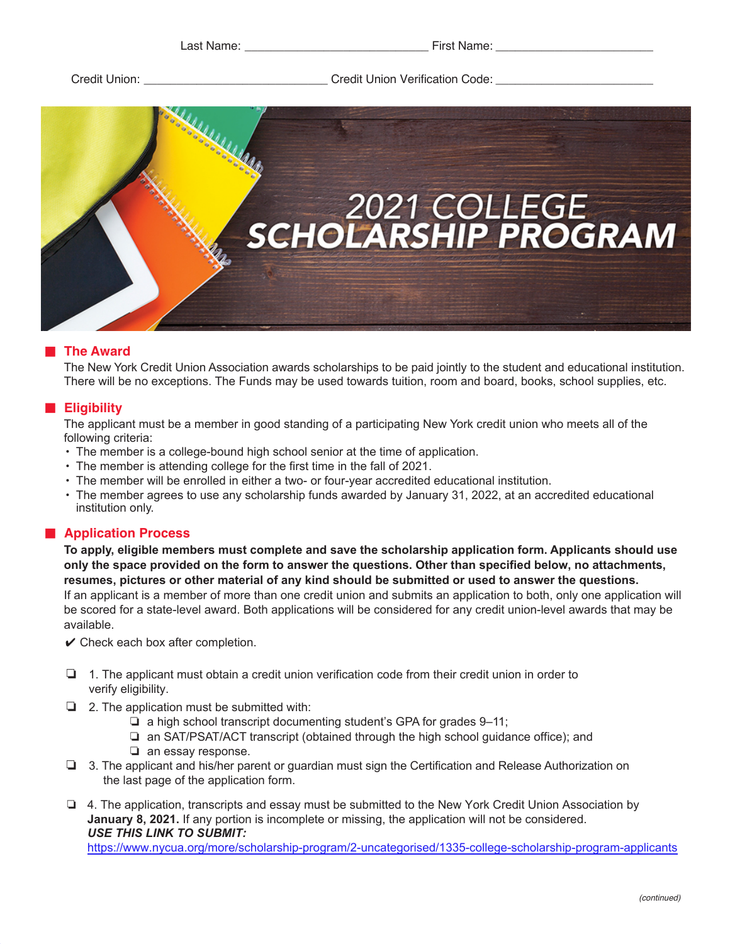Last Name: **Last Name: Last Name: Last Name:**  $\blacksquare$ 

Credit Union: etc. Entries and Credit Union Verification Code:  $\Box$  Credit Union Verification Code:



# ■ **The Award**

The New York Credit Union Association awards scholarships to be paid jointly to the student and educational institution. There will be no exceptions. The Funds may be used towards tuition, room and board, books, school supplies, etc.

## ■ **Eligibility**

The applicant must be a member in good standing of a participating New York credit union who meets all of the following criteria:

- The member is a college-bound high school senior at the time of application.
- The member is attending college for the first time in the fall of 2021.
- The member will be enrolled in either a two- or four-year accredited educational institution.
- The member agrees to use any scholarship funds awarded by January 31, 2022, at an accredited educational institution only.

# ■ **Application Process**

**To apply, eligible members must complete and save the scholarship application form. Applicants should use u only the space provided on the form to answer the questions. Other than specified below, no attachments, resumes, pictures or other material of any kind should be submitted or used to answer the questions.** If an applicant is a member of more than one credit union and submits an application to both, only one application will be scored for a state-level award. Both applications will be considered for any credit union-level awards that may be available.

 $\vee$  Check each box after completion.

- ❏ 1. The applicant must obtain a credit union verification code from their credit union in order to verify eligibility.
- ❏ 2. The application must be submitted with:
	- ❏ a high school transcript documenting student's GPA for grades 9–11;
	- ❏ an SAT/PSAT/ACT transcript (obtained through the high school guidance office); and
	- ❏ an essay response.
- ❏ 3. The applicant and his/her parent or guardian must sign the Certification and Release Authorization on the last page of the application form.
- ❏ 4. The application, transcripts and essay must be submitted to the New York Credit Union Association by **January 8, 2021.** If any portion is incomplete or missing, the application will not be considered. *USE THIS LINK TO SUBMIT:*

<https://www.nycua.org/more/scholarship-program/2-uncategorised/1335-college-scholarship-program-applicants>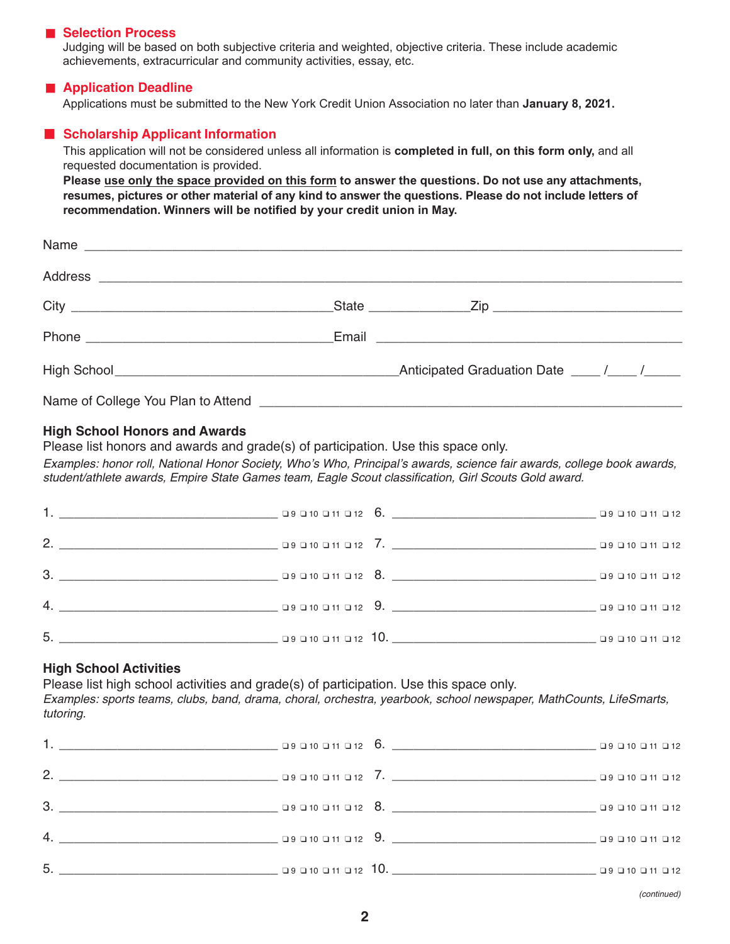#### ■ **Selection Process**

Judging will be based on both subjective criteria and weighted, objective criteria. These include academic achievements, extracurricular and community activities, essay, etc.

### ■ **Application Deadline**

Applications must be submitted to the New York Credit Union Association no later than **January 8, 2021.**

### ■ **Scholarship Applicant Information**

This application will not be considered unless all information is **completed in full, on this form only,** and all requested documentation is provided.

**Please use only the space provided on this form to answer the questions. Do not use any attachments, resumes, pictures or other material of any kind to answer the questions. Please do not include letters of recommendation. Winners will be notified by your credit union in May.**

| Name                               |  |  |
|------------------------------------|--|--|
|                                    |  |  |
|                                    |  |  |
|                                    |  |  |
|                                    |  |  |
| Name of College You Plan to Attend |  |  |

#### **High School Honors and Awards**

Please list honors and awards and grade(s) of participation. Use this space only.

Examples: honor roll, National Honor Society, Who's Who, Principal's awards, science fair awards, college book awards, student/athlete awards, Empire State Games team, Eagle Scout classification, Girl Scouts Gold award.

| 3. 200 11 0 12 3. 200 10 11 0 12 3. 200 10 11 0 12 3. 200 10 0 11 0 12 |  |  |
|------------------------------------------------------------------------|--|--|
|                                                                        |  |  |
| 5.                                                                     |  |  |

# **High School Activities**

Please list high school activities and grade(s) of participation. Use this space only.

Examples: sports teams, clubs, band, drama, choral, orchestra, yearbook, school newspaper, MathCounts, LifeSmarts, tutoring.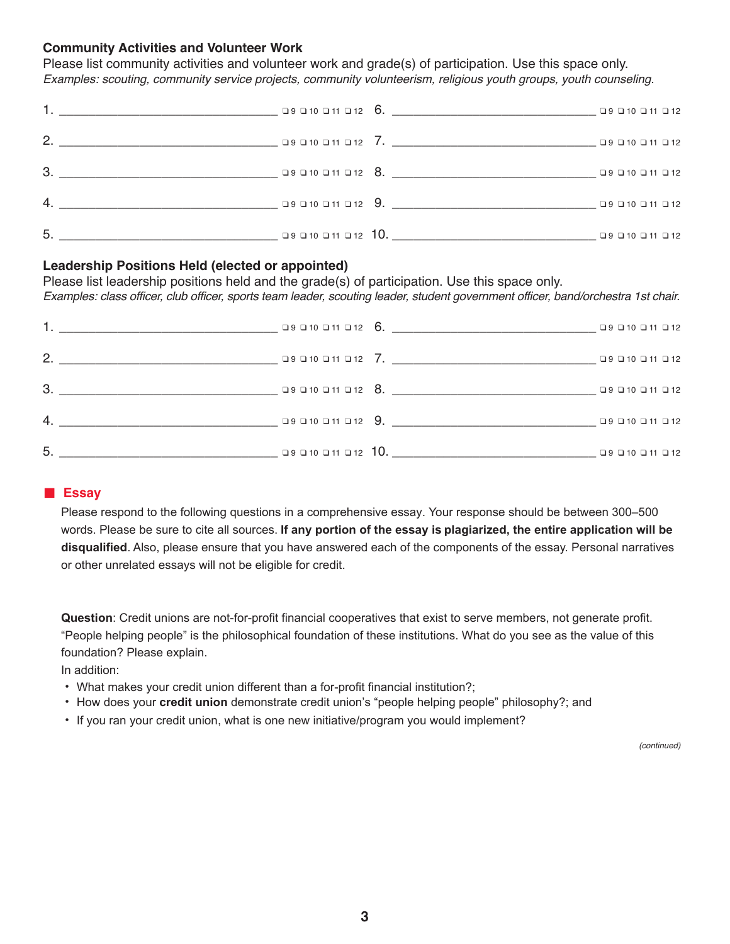# **Community Activities and Volunteer Work**

Please list community activities and volunteer work and grade(s) of participation. Use this space only. Examples: scouting, community service projects, community volunteerism, religious youth groups, youth counseling.

| 3. 29 10 11 12 8. 29 10 11 12 8. 20 10 11 12 12 3. 20 10 11 12 |  |  |
|----------------------------------------------------------------|--|--|
|                                                                |  |  |
|                                                                |  |  |

## **Leadership Positions Held (elected or appointed)**

Please list leadership positions held and the grade(s) of participation. Use this space only. Examples: class officer, club officer, sports team leader, scouting leader, student government officer, band/orchestra 1st chair.

| 3. 29 D10 D11 D12 8. 20 D10 D11 D12 8. |  |
|----------------------------------------|--|
|                                        |  |
|                                        |  |

### ■ **Essay**

Please respond to the following questions in a comprehensive essay. Your response should be between 300–500 words. Please be sure to cite all sources. **If any portion of the essay is plagiarized, the entire application will be disqualified**. Also, please ensure that you have answered each of the components of the essay. Personal narratives or other unrelated essays will not be eligible for credit.

**Question**: Credit unions are not-for-profit financial cooperatives that exist to serve members, not generate profit. "People helping people" is the philosophical foundation of these institutions. What do you see as the value of this foundation? Please explain.

In addition:

- What makes your credit union different than a for-profit financial institution?;
- How does your **credit union** demonstrate credit union's "people helping people" philosophy?; and
- If you ran your credit union, what is one new initiative/program you would implement?

(continued)